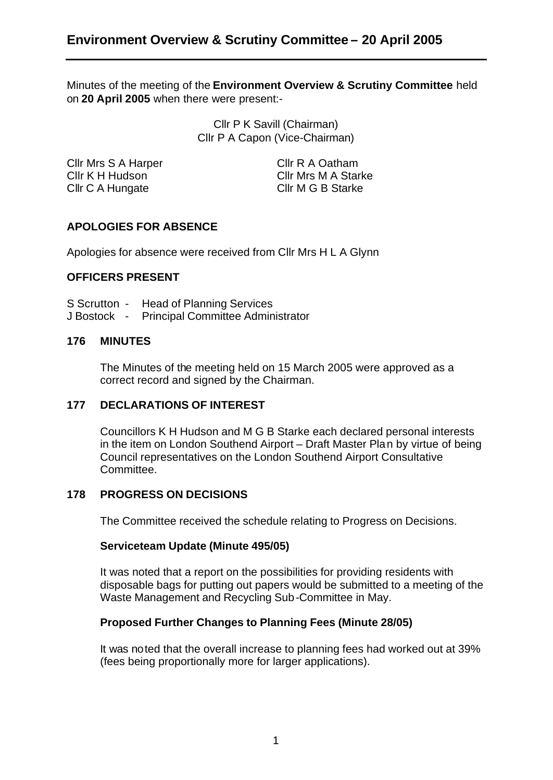Minutes of the meeting of the **Environment Overview & Scrutiny Committee** held on **20 April 2005** when there were present:-

> Cllr P K Savill (Chairman) Cllr P A Capon (Vice-Chairman)

Cllr Mrs S A Harper Cllr R A Oatham Cllr C A Hungate Cllr M G B Starke

Cllr K H Hudson Cllr Mrs M A Starke

# **APOLOGIES FOR ABSENCE**

Apologies for absence were received from Cllr Mrs H L A Glynn

#### **OFFICERS PRESENT**

- S Scrutton Head of Planning Services
- J Bostock Principal Committee Administrator

#### **176 MINUTES**

The Minutes of the meeting held on 15 March 2005 were approved as a correct record and signed by the Chairman.

## **177 DECLARATIONS OF INTEREST**

Councillors K H Hudson and M G B Starke each declared personal interests in the item on London Southend Airport – Draft Master Pla n by virtue of being Council representatives on the London Southend Airport Consultative Committee.

#### **178 PROGRESS ON DECISIONS**

The Committee received the schedule relating to Progress on Decisions.

#### **Serviceteam Update (Minute 495/05)**

It was noted that a report on the possibilities for providing residents with disposable bags for putting out papers would be submitted to a meeting of the Waste Management and Recycling Sub-Committee in May.

## **Proposed Further Changes to Planning Fees (Minute 28/05)**

It was no ted that the overall increase to planning fees had worked out at 39% (fees being proportionally more for larger applications).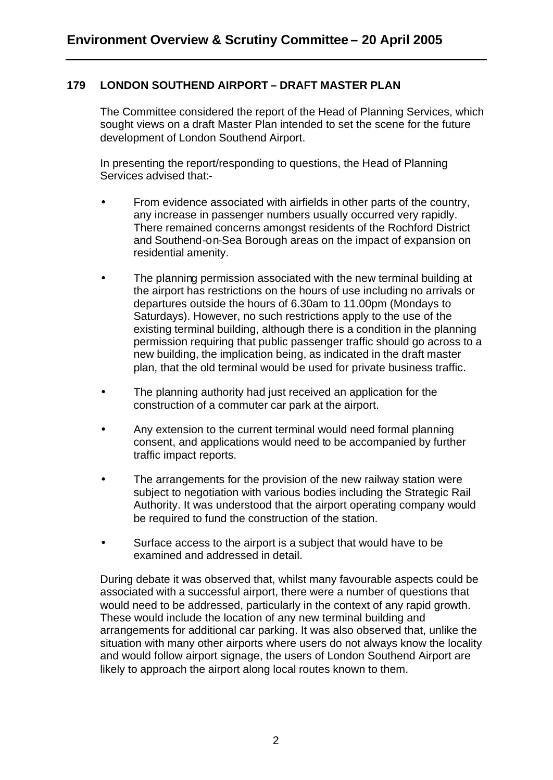# **179 LONDON SOUTHEND AIRPORT – DRAFT MASTER PLAN**

The Committee considered the report of the Head of Planning Services, which sought views on a draft Master Plan intended to set the scene for the future development of London Southend Airport.

In presenting the report/responding to questions, the Head of Planning Services advised that:-

- From evidence associated with airfields in other parts of the country, any increase in passenger numbers usually occurred very rapidly. There remained concerns amongst residents of the Rochford District and Southend-on-Sea Borough areas on the impact of expansion on residential amenity.
- The planning permission associated with the new terminal building at the airport has restrictions on the hours of use including no arrivals or departures outside the hours of 6.30am to 11.00pm (Mondays to Saturdays). However, no such restrictions apply to the use of the existing terminal building, although there is a condition in the planning permission requiring that public passenger traffic should go across to a new building, the implication being, as indicated in the draft master plan, that the old terminal would be used for private business traffic.
- The planning authority had just received an application for the construction of a commuter car park at the airport.
- Any extension to the current terminal would need formal planning consent, and applications would need to be accompanied by further traffic impact reports.
- The arrangements for the provision of the new railway station were subject to negotiation with various bodies including the Strategic Rail Authority. It was understood that the airport operating company would be required to fund the construction of the station.
- Surface access to the airport is a subject that would have to be examined and addressed in detail.

During debate it was observed that, whilst many favourable aspects could be associated with a successful airport, there were a number of questions that would need to be addressed, particularly in the context of any rapid growth. These would include the location of any new terminal building and arrangements for additional car parking. It was also observed that, unlike the situation with many other airports where users do not always know the locality and would follow airport signage, the users of London Southend Airport are likely to approach the airport along local routes known to them.